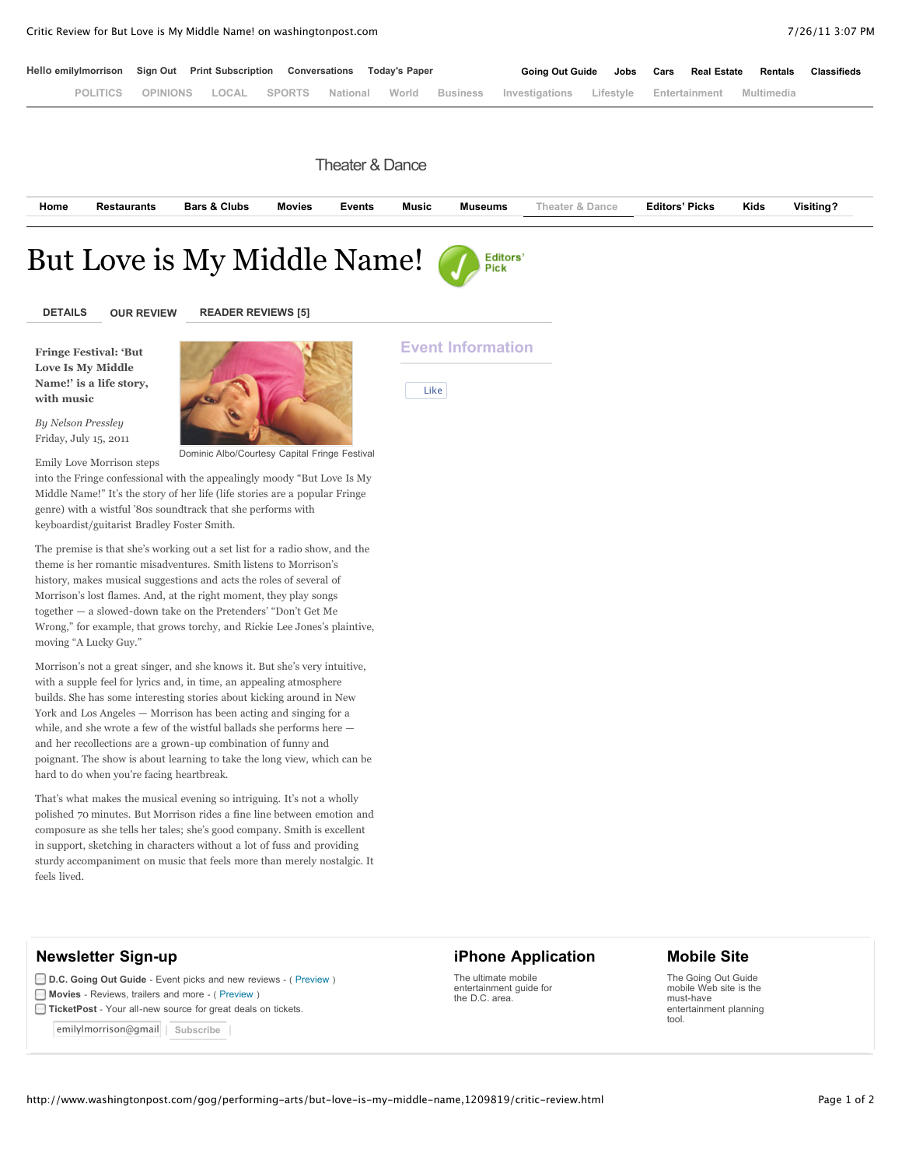

Like

**Fringe Festival: 'But Love Is My Middle Name!' is a life story, with music**

*By Nelson Pressley* Friday, July 15, 2011

Emily Love Morrison steps

into the Fringe confessional with the appealingly moody "But Love Is My Middle Name!" It's the story of her life (life stories are a popular Fringe genre) with a wistful '80s soundtrack that she performs with keyboardist/guitarist Bradley Foster Smith.

Dominic Albo/Courtesy Capital Fringe Festival

The premise is that she's working out a set list for a radio show, and the theme is her romantic misadventures. Smith listens to Morrison's history, makes musical suggestions and acts the roles of several of Morrison's lost flames. And, at the right moment, they play songs together — a slowed-down take on the Pretenders' "Don't Get Me Wrong," for example, that grows torchy, and Rickie Lee Jones's plaintive, moving "A Lucky Guy."

Morrison's not a great singer, and she knows it. But she's very intuitive, with a supple feel for lyrics and, in time, an appealing atmosphere builds. She has some interesting stories about kicking around in New York and Los Angeles — Morrison has been acting and singing for a while, and she wrote a few of the wistful ballads she performs here and her recollections are a grown-up combination of funny and poignant. The show is about learning to take the long view, which can be hard to do when you're facing heartbreak.

That's what makes the musical evening so intriguing. It's not a wholly polished 70 minutes. But Morrison rides a fine line between emotion and composure as she tells her tales; she's good company. Smith is excellent in support, sketching in characters without a lot of fuss and providing sturdy accompaniment on music that feels more than merely nostalgic. It feels lived.

## **Newsletter Sign-up**

**D.C. Going Out Guide** - Event picks and new reviews - ( [Preview \)](javascript:void(0);) **Movies** - Reviews, trailers and more - ( [Preview](javascript:void(0);) ) **TicketPost** - Your all-new source for great deals on tickets.

emilylmorrison@gmail | [Subscribe](http://www.washingtonpost.com/gog/performing-arts/but-love-is-my-middle-name,1209819/critic-review.html#)

## **iPhone Application**

The ultimate mobile entertainment guide for the D.C. area.

## **Mobile Site**

The Going Out Guide mobile Web site is the must-have entertainment planning tool.